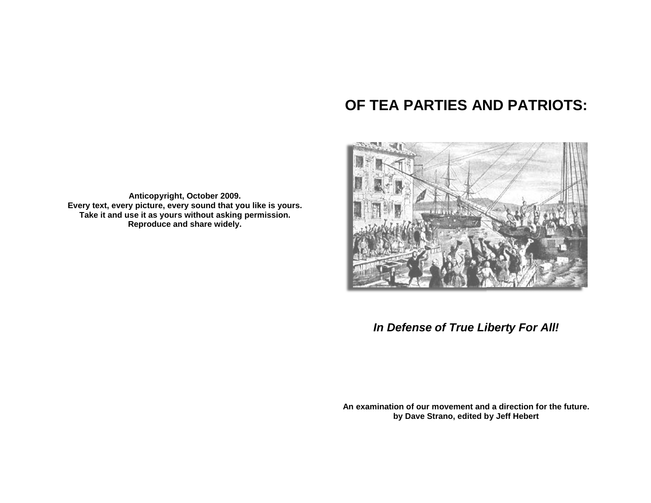# **OF TEA PARTIES AND PATRIOTS :**



*In Defense of True Liberty For All !*

**An examination of our movement and a direction for the future future. by Dave Strano, edited by Jeff Hebert**

**Anticopyright, October 2009. Every text, every picture, every sound that you like is yours. Take it and use it as yours without asking permission. Reproduce and share widely.**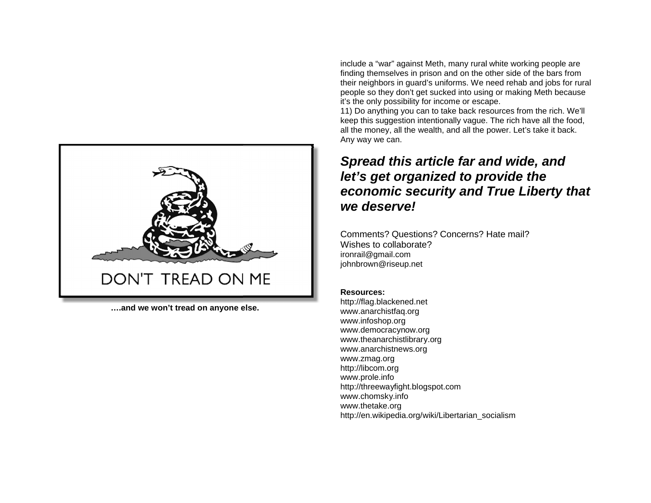

**….and we won't tread on anyone else.**

include a "war" against Meth, many rural white working people are finding themselves in prison and on the other side of the bars from their neighbors in guard's uniforms. We need rehab and jobs for rural people so they don't get sucked into using or making Meth because it's the only possibility for income or escape.

11) Do anything you can to take back resources from the rich. We'll keep this suggestion intentionally vague. The rich have all the food, all the money, all the wealth, and all the power. Let's take it back. Any way we can.

## *Spread this article far and wide, and let's get organized to provide the economic security and True Liberty that we deserve!*

Comments? Questions? Concerns? Hate mail? Wishes to collaborate? ironrail@gmail.com johnbrown@riseup.net

## **Resources:**

http://flag.blackened.net www.anarchistfaq.org www.infoshop.org www.democracynow.org www.theanarchistlibrary.org www.anarchistnews.org www.zmag.org http://libcom.org www.prole.info http://threewayfight.blogspot.com www.chomsky.info www.thetake.org http://en.wikipedia.org/wiki/Libertarian\_socialism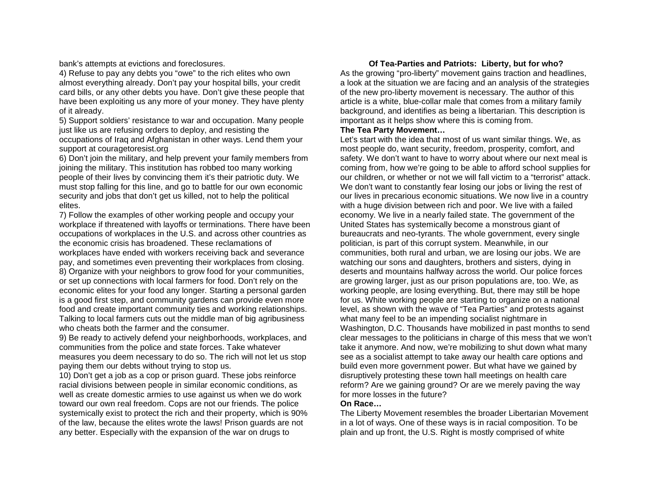bank's attempts at evictions and foreclosures.

4) Refuse to pay any debts you "owe" to the rich elites who own almost everything already. Don't pay your hospital bills, your credit card bills, or any other debts you have. Don't give these people that have been exploiting us any more of your money. They have plenty of it already.

5) Support soldiers' resistance to war and occupation. Many people just like us are refusing orders to deploy, and resisting the occupations of Iraq and Afghanistan in other ways. Lend them your support at couragetoresist.org

6) Don't join the military, and help prevent your family members from joining the military. This institution has robbed too many working people of their lives by convincing them it's their patriotic duty. We must stop falling for this line, and go to battle for our own economic security and jobs that don't get us killed, not to help the political elites.

7) Follow the examples of other working people and occupy your workplace if threatened with layoffs or terminations. There have been occupations of workplaces in the U.S. and across other countries as the economic crisis has broadened. These reclamations of workplaces have ended with workers receiving back and severance pay, and sometimes even preventing their workplaces from closing. 8) Organize with your neighbors to grow food for your communities, or set up connections with local farmers for food. Don't rely on the economic elites for your food any longer. Starting a personal garden is a good first step, and community gardens can provide even more food and create important community ties and working relationships. Talking to local farmers cuts out the middle man of big agribusiness who cheats both the farmer and the consumer.

9) Be ready to actively defend your neighborhoods, workplaces, and communities from the police and state forces. Take whatever measures you deem necessary to do so. The rich will not let us stop paying them our debts without trying to stop us.

10) Don't get a job as a cop or prison guard. These jobs reinforce racial divisions between people in similar economic conditions, as well as create domestic armies to use against us when we do work toward our own real freedom. Cops are not our friends. The police systemically exist to protect the rich and their property, which is 90% of the law, because the elites wrote the laws! Prison guards are not any better. Especially with the expansion of the war on drugs to

## **Of Tea-Parties and Patriots: Liberty, but for who?**

As the growing "pro-liberty" movement gains traction and headlines, a look at the situation we are facing and an analysis of the strategies of the new pro-liberty movement is necessary. The author of this article is a white, blue-collar male that comes from a military family background, and identifies as being a libertarian. This description is important as it helps show where this is coming from.

## **The Tea Party Movement…**

Let's start with the idea that most of us want similar things. We, as most people do, want security, freedom, prosperity, comfort, and safety. We don't want to have to worry about where our next meal is coming from, how we're going to be able to afford school supplies for our children, or whether or not we will fall victim to a "terrorist" attack. We don't want to constantly fear losing our jobs or living the rest of our lives in precarious economic situations. We now live in a country with a huge division between rich and poor. We live with a failed economy. We live in a nearly failed state. The government of the United States has systemically become a monstrous giant of bureaucrats and neo-tyrants. The whole government, every single politician, is part of this corrupt system. Meanwhile, in our communities, both rural and urban, we are losing our jobs. We are watching our sons and daughters, brothers and sisters, dying in deserts and mountains halfway across the world. Our police forces are growing larger, just as our prison populations are, too. We, as working people, are losing everything. But, there may still be hope for us. White working people are starting to organize on a national level, as shown with the wave of "Tea Parties" and protests against what many feel to be an impending socialist nightmare in Washington, D.C. Thousands have mobilized in past months to send clear messages to the politicians in charge of this mess that we won't take it anymore. And now, we're mobilizing to shut down what many see as a socialist attempt to take away our health care options and build even more government power. But what have we gained by disruptively protesting these town hall meetings on health care reform? Are we gaining ground? Or are we merely paving the way for more losses in the future?

## **On Race…**

The Liberty Movement resembles the broader Libertarian Movement in a lot of ways. One of these ways is in racial composition. To be plain and up front, the U.S. Right is mostly comprised of white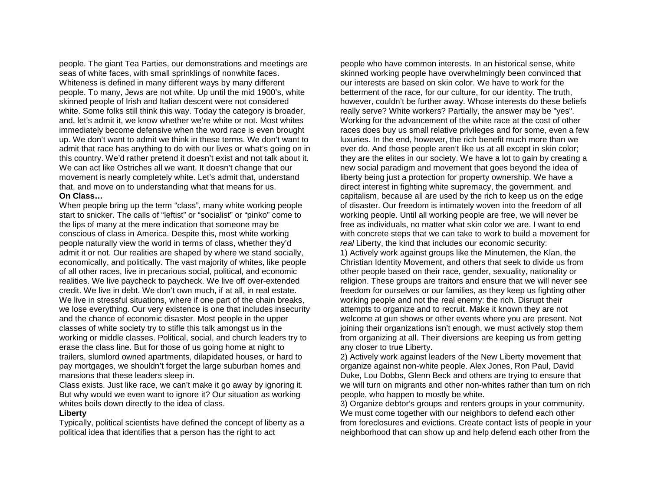people. The giant Tea Parties, our demonstrations and meetings are seas of white faces, with small sprinklings of nonwhite faces. Whiteness is defined in many different ways by many different people. To many, Jews are not white. Up until the mid 1900's, white skinned people of Irish and Italian descent were not considered white. Some folks still think this way. Today the category is broader, and, let's admit it, we know whether we're white or not. Most whites immediately become defensive when the word race is even brought up. We don't want to admit we think in these terms. We don't want to admit that race has anything to do with our lives or what's going on in this country. We'd rather pretend it doesn't exist and not talk about it. We can act like Ostriches all we want. It doesn't change that our movement is nearly completely white. Let's admit that, understand that, and move on to understanding what that means for us. **On Class…**

When people bring up the term "class", many white working people start to snicker. The calls of "leftist" or "socialist" or "pinko" come to the lips of many at the mere indication that someone may be conscious of class in America. Despite this, most white working people naturally view the world in terms of class, whether they'd admit it or not. Our realities are shaped by where we stand socially, economically, and politically. The vast majority of whites, like people of all other races, live in precarious social, political, and economic realities. We live paycheck to paycheck. We live off over-extended credit. We live in debt. We don't own much, if at all, in real estate. We live in stressful situations, where if one part of the chain breaks, we lose everything. Our very existence is one that includes insecurity and the chance of economic disaster. Most people in the upper classes of white society try to stifle this talk amongst us in the working or middle classes. Political, social, and church leaders try to erase the class line. But for those of us going home at night to trailers, slumlord owned apartments, dilapidated houses, or hard to pay mortgages, we shouldn't forget the large suburban homes and mansions that these leaders sleep in.

Class exists. Just like race, we can't make it go away by ignoring it. But why would we even want to ignore it? Our situation as working whites boils down directly to the idea of class.

#### **Liberty**

Typically, political scientists have defined the concept of liberty as a political idea that identifies that a person has the right to act

people who have common interests. In an historical sense, white skinned working people have overwhelmingly been convinced that our interests are based on skin color. We have to work for the betterment of the race, for our culture, for our identity. The truth, however, couldn't be further away. Whose interests do these beliefs really serve? White workers? Partially, the answer may be "yes". Working for the advancement of the white race at the cost of other races does buy us small relative privileges and for some, even a few luxuries. In the end, however, the rich benefit much more than we ever do. And those people aren't like us at all except in skin color; they are the elites in our society. We have a lot to gain by creating a new social paradigm and movement that goes beyond the idea of liberty being just a protection for property ownership. We have a direct interest in fighting white supremacy, the government, and capitalism, because all are used by the rich to keep us on the edge of disaster. Our freedom is intimately woven into the freedom of all working people. Until all working people are free, we will never be free as individuals, no matter what skin color we are. I want to end with concrete steps that we can take to work to build a movement for *real* Liberty, the kind that includes our economic security: 1) Actively work against groups like the Minutemen, the Klan, the Christian Identity Movement, and others that seek to divide us from other people based on their race, gender, sexuality, nationality or religion. These groups are traitors and ensure that we will never see freedom for ourselves or our families, as they keep us fighting other working people and not the real enemy: the rich. Disrupt their attempts to organize and to recruit. Make it known they are not welcome at gun shows or other events where you are present. Not joining their organizations isn't enough, we must actively stop them from organizing at all. Their diversions are keeping us from getting any closer to true Liberty.

2) Actively work against leaders of the New Liberty movement that organize against non-white people. Alex Jones, Ron Paul, David Duke, Lou Dobbs, Glenn Beck and others are trying to ensure that we will turn on migrants and other non-whites rather than turn on rich people, who happen to mostly be white.

3) Organize debtor's groups and renters groups in your community. We must come together with our neighbors to defend each other from foreclosures and evictions. Create contact lists of people in your neighborhood that can show up and help defend each other from the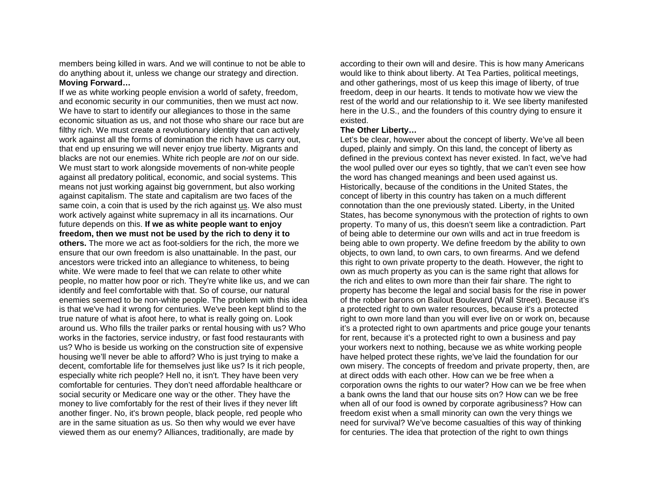members being killed in wars. And we will continue to not be able to do anything about it, unless we change our strategy and direction. **Moving Forward…**

If we as white working people envision a world of safety, freedom, and economic security in our communities, then we must act now. We have to start to identify our allegiances to those in the same economic situation as us, and not those who share our race but are filthy rich. We must create a revolutionary identity that can actively work against all the forms of domination the rich have us carry out, that end up ensuring we will never enjoy true liberty. Migrants and blacks are not our enemies. White rich people are *not* on our side. We must start to work alongside movements of non-white people against all predatory political, economic, and social systems. This means not just working against big government, but also working against capitalism. The state and capitalism are two faces of the same coin, a coin that is used by the rich against us. We also must work actively against white supremacy in all its incarnations. Our future depends on this. **If we as white people want to enjoy freedom, then we must not be used by the rich to deny it to others.** The more we act as foot-soldiers for the rich, the more we ensure that our own freedom is also unattainable. In the past, our ancestors were tricked into an allegiance to whiteness, to being white. We were made to feel that we can relate to other white

people, no matter how poor or rich. They're white like us, and we can identify and feel comfortable with that. So of course, our natural enemies seemed to be non-white people. The problem with this idea is that we've had it wrong for centuries. We've been kept blind to the true nature of what is afoot here, to what is really going on. Look around us. Who fills the trailer parks or rental housing with us? Who works in the factories, service industry, or fast food restaurants with us? Who is beside us working on the construction site of expensive housing we'll never be able to afford? Who is just trying to make a decent, comfortable life for themselves just like us? Is it rich people, especially white rich people? Hell no, it isn't. They have been very comfortable for centuries. They don't need affordable healthcare or social security or Medicare one way or the other. They have the money to live comfortably for the rest of their lives if they never lift another finger. No, it's brown people, black people, red people who are in the same situation as us. So then why would we ever have viewed them as our enemy? Alliances, traditionally, are made by

according to their own will and desire. This is how many Americans would like to think about liberty. At Tea Parties, political meetings, and other gatherings, most of us keep this image of liberty, of true freedom, deep in our hearts. It tends to motivate how we view the rest of the world and our relationship to it. We see liberty manifested here in the U.S., and the founders of this country dying to ensure it existed.

#### **The Other Liberty…**

Let's be clear, however about the concept of liberty. We've all been duped, plainly and simply. On this land, the concept of liberty as defined in the previous context has never existed. In fact, we've had the wool pulled over our eyes so tightly, that we can't even see how the word has changed meanings and been used against us. Historically, because of the conditions in the United States, the concept of liberty in this country has taken on a much different connotation than the one previously stated. Liberty, in the United States, has become synonymous with the protection of rights to own property. To many of us, this doesn't seem like a contradiction. Part of being able to determine our own wills and act in true freedom is being able to own property. We define freedom by the ability to own objects, to own land, to own cars, to own firearms. And we defend this right to own private property to the death. However, the right to own as much property as you can is the same right that allows for the rich and elites to own more than their fair share. The right to property has become the legal and social basis for the rise in power of the robber barons on Bailout Boulevard (Wall Street). Because it's a protected right to own water resources, because it's a protected right to own more land than you will ever live on or work on, because it's a protected right to own apartments and price gouge your tenants for rent, because it's a protected right to own a business and pay your workers next to nothing, because we as white working people have helped protect these rights, we've laid the foundation for our own misery. The concepts of freedom and private property, then, are at direct odds with each other. How can we be free when a corporation owns the rights to our water? How can we be free when a bank owns the land that our house sits on? How can we be free when all of our food is owned by corporate agribusiness? How can freedom exist when a small minority can own the very things we need for survival? We've become casualties of this way of thinking for centuries. The idea that protection of the right to own things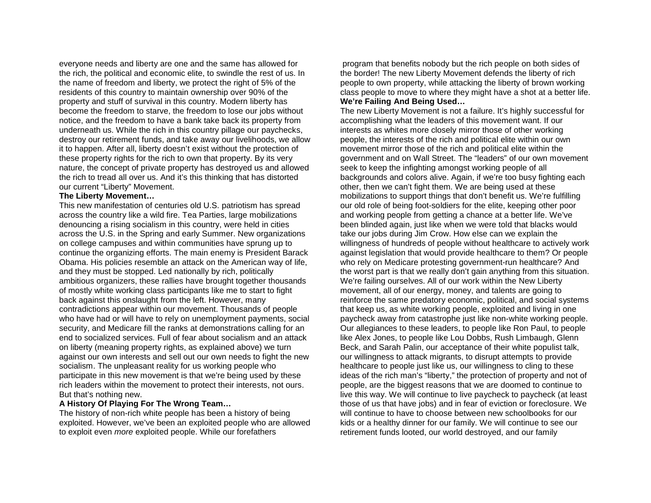everyone needs and liberty are one and the same has allowed for the rich, the political and economic elite, to swindle the rest of us. In the name of freedom and liberty, we protect the right of 5% of the residents of this country to maintain ownership over 90% of the property and stuff of survival in this country. Modern liberty has become the freedom to starve, the freedom to lose our jobs without notice, and the freedom to have a bank take back its property from underneath us. While the rich in this country pillage our paychecks, destroy our retirement funds, and take away our livelihoods, we allow it to happen. After all, liberty doesn't exist without the protection of these property rights for the rich to own that property. By its very nature, the concept of private property has destroyed us and allowed the rich to tread all over us. And it's this thinking that has distorted our current "Liberty" Movement.

#### **The Liberty Movement…**

This new manifestation of centuries old U.S. patriotism has spread across the country like a wild fire. Tea Parties, large mobilizations denouncing a rising socialism in this country, were held in cities across the U.S. in the Spring and early Summer. New organizations on college campuses and within communities have sprung up to continue the organizing efforts. The main enemy is President Barack Obama. His policies resemble an attack on the American way of life, and they must be stopped. Led nationally by rich, politically ambitious organizers, these rallies have brought together thousands of mostly white working class participants like me to start to fight back against this onslaught from the left. However, many contradictions appear within our movement. Thousands of people who have had or will have to rely on unemployment payments, social security, and Medicare fill the ranks at demonstrations calling for an end to socialized services. Full of fear about socialism and an attack on liberty (meaning property rights, as explained above) we turn against our own interests and sell out our own needs to fight the new socialism. The unpleasant reality for us working people who participate in this new movement is that we're being used by these rich leaders within the movement to protect their interests, not ours. But that's nothing new.

#### **A History Of Playing For The Wrong Team…**

The history of non-rich white people has been a history of being exploited. However, we've been an exploited people who are allowed to exploit even *more* exploited people. While our forefathers

program that benefits nobody but the rich people on both sides of the border! The new Liberty Movement defends the liberty of rich people to own property, while attacking the liberty of brown working class people to move to where they might have a shot at a better life. **We're Failing And Being Used…**

The new Liberty Movement is not a failure. It's highly successful for accomplishing what the leaders of this movement want. If our interests as whites more closely mirror those of other working people, the interests of the rich and political elite within our own movement mirror those of the rich and political elite within the government and on Wall Street. The "leaders" of our own movement seek to keep the infighting amongst working people of all backgrounds and colors alive. Again, if we're too busy fighting each other, then we can't fight them. We are being used at these mobilizations to support things that don't benefit us. We're fulfilling our old role of being foot-soldiers for the elite, keeping other poor and working people from getting a chance at a better life. We've been blinded again, just like when we were told that blacks would take our jobs during Jim Crow. How else can we explain the willingness of hundreds of people without healthcare to actively work against legislation that would provide healthcare to them? Or people who rely on Medicare protesting government-run healthcare? And the worst part is that we really don't gain anything from this situation. We're failing ourselves. All of our work within the New Liberty movement, all of our energy, money, and talents are going to reinforce the same predatory economic, political, and social systems that keep us, as white working people, exploited and living in one paycheck away from catastrophe just like non-white working people. Our allegiances to these leaders, to people like Ron Paul, to people like Alex Jones, to people like Lou Dobbs, Rush Limbaugh, Glenn Beck, and Sarah Palin, our acceptance of their white populist talk, our willingness to attack migrants, to disrupt attempts to provide healthcare to people just like us, our willingness to cling to these ideas of the rich man's "liberty," the protection of property and not of people, are the biggest reasons that we are doomed to continue to live this way. We will continue to live paycheck to paycheck (at least those of us that have jobs) and in fear of eviction or foreclosure. We will continue to have to choose between new schoolbooks for our kids or a healthy dinner for our family. We will continue to see our retirement funds looted, our world destroyed, and our family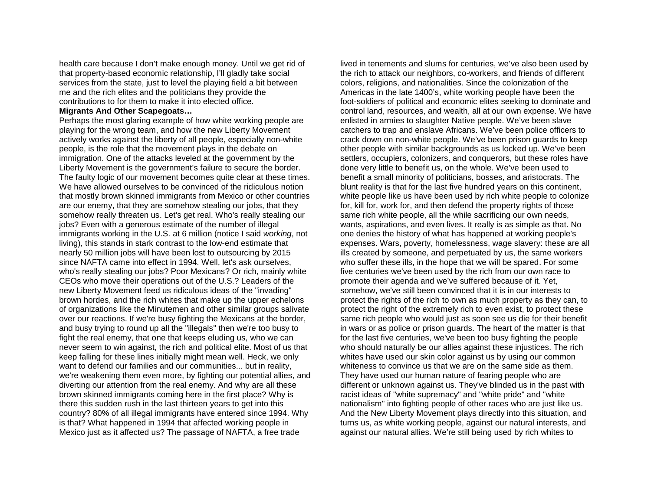health care because I don't make enough money. Until we get rid of that property-based economic relationship, I'll gladly take social services from the state, just to level the playing field a bit between me and the rich elites and the politicians they provide the contributions to for them to make it into elected office.

#### **Migrants And Other Scapegoats…**

Perhaps the most glaring example of how white working people are playing for the wrong team, and how the new Liberty Movement actively works against the liberty of all people, especially non-white people, is the role that the movement plays in the debate on immigration. One of the attacks leveled at the government by the Liberty Movement is the government's failure to secure the border. The faulty logic of our movement becomes quite clear at these times. We have allowed ourselves to be convinced of the ridiculous notion that mostly brown skinned immigrants from Mexico or other countries are our enemy, that they are somehow stealing our jobs, that they somehow really threaten us. Let's get real. Who's really stealing our jobs? Even with a generous estimate of the number of illegal immigrants working in the U.S. at 6 million (notice I said *working*, not living), this stands in stark contrast to the low-end estimate that nearly 50 million jobs will have been lost to outsourcing by 2015 since NAFTA came into effect in 1994. Well, let's ask ourselves, who's really stealing our jobs? Poor Mexicans? Or rich, mainly white CEOs who move their operations out of the U.S.? Leaders of the new Liberty Movement feed us ridiculous ideas of the "invading" brown hordes, and the rich whites that make up the upper echelons of organizations like the Minutemen and other similar groups salivate over our reactions. If we're busy fighting the Mexicans at the border, and busy trying to round up all the "illegals" then we're too busy to fight the real enemy, that one that keeps eluding us, who we can never seem to win against, the rich and political elite. Most of us that keep falling for these lines initially might mean well. Heck, we only want to defend our families and our communities... but in reality, we're weakening them even more, by fighting our potential allies, and diverting our attention from the real enemy. And why are all these brown skinned immigrants coming here in the first place? Why is there this sudden rush in the last thirteen years to get into this country? 80% of all illegal immigrants have entered since 1994. Why is that? What happened in 1994 that affected working people in Mexico just as it affected us? The passage of NAFTA, a free trade

lived in tenements and slums for centuries, we've also been used by the rich to attack our neighbors, co-workers, and friends of different colors, religions, and nationalities. Since the colonization of the Americas in the late 1400's, white working people have been the foot-soldiers of political and economic elites seeking to dominate and control land, resources, and wealth, all at our own expense. We have enlisted in armies to slaughter Native people. We've been slave catchers to trap and enslave Africans. We've been police officers to crack down on non-white people. We've been prison guards to keep other people with similar backgrounds as us locked up. We've been settlers, occupiers, colonizers, and conquerors, but these roles have done very little to benefit us, on the whole. We've been used to benefit a small minority of politicians, bosses, and aristocrats. The blunt reality is that for the last five hundred years on this continent, white people like us have been used by rich white people to colonize for, kill for, work for, and then defend the property rights of those same rich white people, all the while sacrificing our own needs, wants, aspirations, and even lives. It really is as simple as that. No one denies the history of what has happened at working people's expenses. Wars, poverty, homelessness, wage slavery: these are all ills created by someone, and perpetuated by us, the same workers who suffer these ills, in the hope that we will be spared. For some five centuries we've been used by the rich from our own race to promote their agenda and we've suffered because of it. Yet, somehow, we've still been convinced that it is in our interests to protect the rights of the rich to own as much property as they can, to protect the right of the extremely rich to even exist, to protect these same rich people who would just as soon see us die for their benefit in wars or as police or prison guards. The heart of the matter is that for the last five centuries, we've been too busy fighting the people who should naturally be our allies against these injustices. The rich whites have used our skin color against us by using our common whiteness to convince us that we are on the same side as them. They have used our human nature of fearing people who are different or unknown against us. They've blinded us in the past with racist ideas of "white supremacy" and "white pride" and "white nationalism" into fighting people of other races who are just like us. And the New Liberty Movement plays directly into this situation, and turns us, as white working people, against our natural interests, and against our natural allies. We're still being used by rich whites to